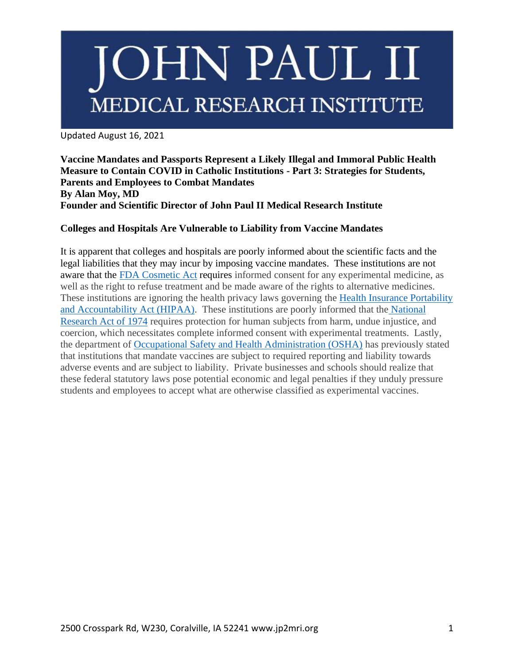Updated August 16, 2021

**Vaccine Mandates and Passports Represent a Likely Illegal and Immoral Public Health Measure to Contain COVID in Catholic Institutions - Part 3: Strategies for Students, Parents and Employees to Combat Mandates By Alan Moy, MD Founder and Scientific Director of John Paul II Medical Research Institute**

### **Colleges and Hospitals Are Vulnerable to Liability from Vaccine Mandates**

It is apparent that colleges and hospitals are poorly informed about the scientific facts and the legal liabilities that they may incur by imposing vaccine mandates. These institutions are not aware that the FDA [Cosmetic Act](https://www.govinfo.gov/content/pkg/USCODE-2011-title21/pdf/USCODE-2011-title21-chap9-subchapV-partE-sec360bbb-3.pdf) requires informed consent for any experimental medicine, as well as the right to refuse treatment and be made aware of the rights to alternative medicines. These institutions are ignoring the health privacy laws governing the [Health Insurance Portability](https://www.hhs.gov/hipaa/for-individuals/guidance-materials-for-consumers/index.html)  [and Accountability](https://www.hhs.gov/hipaa/for-individuals/guidance-materials-for-consumers/index.html) Act (HIPAA). These institutions are poorly informed that the [National](https://www.hhs.gov/ohrp/regulations-and-policy/belmont-report/index.html)  [Research Act of 1974](https://www.hhs.gov/ohrp/regulations-and-policy/belmont-report/index.html) requires protection for human subjects from harm, undue injustice, and coercion, which necessitates complete informed consent with experimental treatments. Lastly, the department of [Occupational Safety and Health Administration \(OSHA\)](https://www.osha.gov/coronavirus/faqs#vaccine) has previously stated that institutions that mandate vaccines are subject to required reporting and liability towards adverse events and are subject to liability. Private businesses and schools should realize that these federal statutory laws pose potential economic and legal penalties if they unduly pressure students and employees to accept what are otherwise classified as experimental vaccines.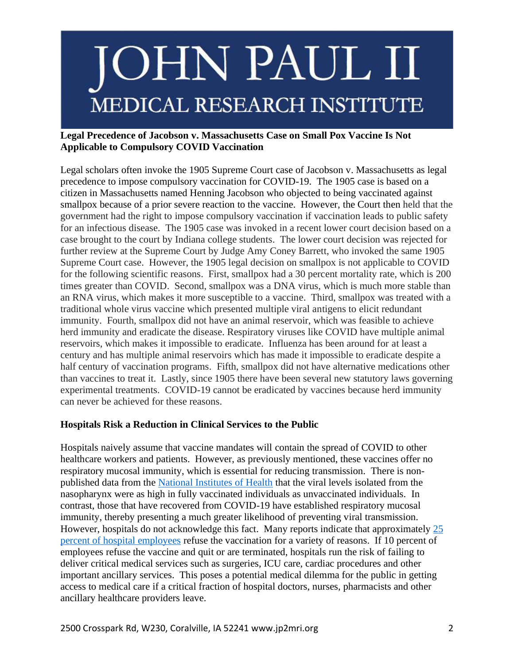#### **Legal Precedence of Jacobson v. Massachusetts Case on Small Pox Vaccine Is Not Applicable to Compulsory COVID Vaccination**

Legal scholars often invoke the 1905 Supreme Court case of Jacobson v. Massachusetts as legal precedence to impose compulsory vaccination for COVID-19. The 1905 case is based on a citizen in Massachusetts named Henning Jacobson who objected to being vaccinated against smallpox because of a prior severe reaction to the vaccine. However, the Court then held that the government had the right to impose compulsory vaccination if vaccination leads to public safety for an infectious disease. The 1905 case was invoked in a recent lower court decision based on a case brought to the court by Indiana college students. The lower court decision was rejected for further review at the Supreme Court by Judge Amy Coney Barrett, who invoked the same 1905 Supreme Court case. However, the 1905 legal decision on smallpox is not applicable to COVID for the following scientific reasons. First, smallpox had a 30 percent mortality rate, which is 200 times greater than COVID. Second, smallpox was a DNA virus, which is much more stable than an RNA virus, which makes it more susceptible to a vaccine. Third, smallpox was treated with a traditional whole virus vaccine which presented multiple viral antigens to elicit redundant immunity. Fourth, smallpox did not have an animal reservoir, which was feasible to achieve herd immunity and eradicate the disease. Respiratory viruses like COVID have multiple animal reservoirs, which makes it impossible to eradicate. Influenza has been around for at least a century and has multiple animal reservoirs which has made it impossible to eradicate despite a half century of vaccination programs. Fifth, smallpox did not have alternative medications other than vaccines to treat it. Lastly, since 1905 there have been several new statutory laws governing experimental treatments. COVID-19 cannot be eradicated by vaccines because herd immunity can never be achieved for these reasons.

### **Hospitals Risk a Reduction in Clinical Services to the Public**

Hospitals naively assume that vaccine mandates will contain the spread of COVID to other healthcare workers and patients. However, as previously mentioned, these vaccines offer no respiratory mucosal immunity, which is essential for reducing transmission. There is nonpublished data from the [National Institutes](https://thehill.com/homenews/sunday-talk-shows/565831-fauci-amount-of-virus-in-breakthrough-delta-cases-almost-identical) of Health that the viral levels isolated from the nasopharynx were as high in fully vaccinated individuals as unvaccinated individuals. In contrast, those that have recovered from COVID-19 have established respiratory mucosal immunity, thereby presenting a much greater likelihood of preventing viral transmission. However, hospitals do not acknowledge this fact. Many reports indicate that approximately [25](https://www.webmd.com/vaccines/covid-19-vaccine/news/20210628/huge-number-of-hospital-workers)  [percent of hospital employees](https://www.webmd.com/vaccines/covid-19-vaccine/news/20210628/huge-number-of-hospital-workers) refuse the vaccination for a variety of reasons. If 10 percent of employees refuse the vaccine and quit or are terminated, hospitals run the risk of failing to deliver critical medical services such as surgeries, ICU care, cardiac procedures and other important ancillary services. This poses a potential medical dilemma for the public in getting access to medical care if a critical fraction of hospital doctors, nurses, pharmacists and other ancillary healthcare providers leave.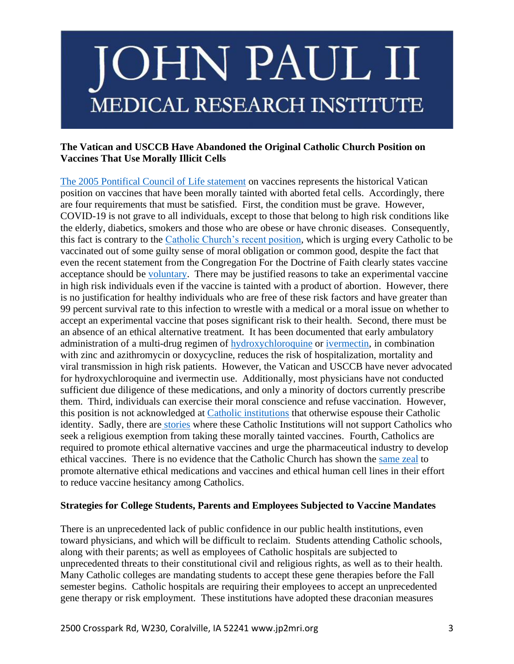#### **The Vatican and USCCB Have Abandoned the Original Catholic Church Position on Vaccines That Use Morally Illicit Cells**

[The 2005 Pontifical Council of Life statement](https://www.immunize.org/talking-about-vaccines/vaticandocument.htm) on vaccines represents the historical Vatican position on vaccines that have been morally tainted with aborted fetal cells. Accordingly, there are four requirements that must be satisfied. First, the condition must be grave. However, COVID-19 is not grave to all individuals, except to those that belong to high risk conditions like the elderly, diabetics, smokers and those who are obese or have chronic diseases. Consequently, this fact is contrary to the [Catholic Church's recent position,](https://www.americamagazine.org/faith/2021/07/02/vatican-vaccine-hesitancy-covid-pope-francis-240971) which is urging every Catholic to be vaccinated out of some guilty sense of moral obligation or common good, despite the fact that even the recent statement from the Congregation For the Doctrine of Faith clearly states vaccine acceptance should be [voluntary.](https://www.vatican.va/roman_curia/congregations/cfaith/documents/rc_con_cfaith_doc_20201221_nota-vaccini-anticovid_en.html) There may be justified reasons to take an experimental vaccine in high risk individuals even if the vaccine is tainted with a product of abortion. However, there is no justification for healthy individuals who are free of these risk factors and have greater than 99 percent survival rate to this infection to wrestle with a medical or a moral issue on whether to accept an experimental vaccine that poses significant risk to their health. Second, there must be an absence of an ethical alternative treatment. It has been documented that early ambulatory administration of a multi-drug regimen of [hydroxychloroquine](https://academic.oup.com/aje/article/189/11/1218/5847586) or [ivermectin,](https://pubmed.ncbi.nlm.nih.gov/33388006/) in combination with zinc and azithromycin or doxycycline, reduces the risk of hospitalization, mortality and viral transmission in high risk patients. However, the Vatican and USCCB have never advocated for hydroxychloroquine and ivermectin use. Additionally, most physicians have not conducted sufficient due diligence of these medications, and only a minority of doctors currently prescribe them. Third, individuals can exercise their moral conscience and refuse vaccination. However, this position is not acknowledged at [Catholic institutions](https://covid.nd.edu/vaccination/student-vaccination-requirement/) that otherwise espouse their Catholic identity. Sadly, there are [stories](https://www.bostonherald.com/2021/07/12/boston-college-faces-fury-over-coronavirus-vaccine-link-to-abortions/) where these Catholic Institutions will not support Catholics who seek a religious exemption from taking these morally tainted vaccines. Fourth, Catholics are required to promote ethical alternative vaccines and urge the pharmaceutical industry to develop ethical vaccines. There is no evidence that the Catholic Church has shown the [same zeal](https://www.lifesitenews.com/blogs/researcher-vatican-us-bishops-uninterested-in-my-moral-alternative-to-covid-jab) to promote alternative ethical medications and vaccines and ethical human cell lines in their effort to reduce vaccine hesitancy among Catholics.

#### **Strategies for College Students, Parents and Employees Subjected to Vaccine Mandates**

There is an unprecedented lack of public confidence in our public health institutions, even toward physicians, and which will be difficult to reclaim. Students attending Catholic schools, along with their parents; as well as employees of Catholic hospitals are subjected to unprecedented threats to their constitutional civil and religious rights, as well as to their health. Many Catholic colleges are mandating students to accept these gene therapies before the Fall semester begins. Catholic hospitals are requiring their employees to accept an unprecedented gene therapy or risk employment. These institutions have adopted these draconian measures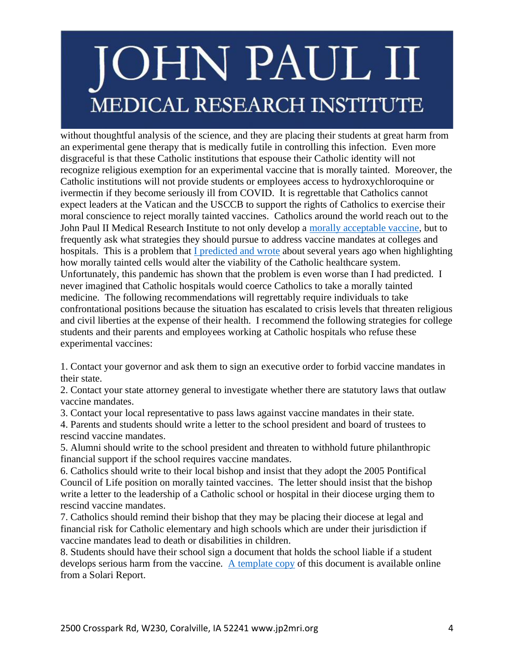without thoughtful analysis of the science, and they are placing their students at great harm from an experimental gene therapy that is medically futile in controlling this infection. Even more disgraceful is that these Catholic institutions that espouse their Catholic identity will not recognize religious exemption for an experimental vaccine that is morally tainted. Moreover, the Catholic institutions will not provide students or employees access to hydroxychloroquine or ivermectin if they become seriously ill from COVID. It is regrettable that Catholics cannot expect leaders at the Vatican and the USCCB to support the rights of Catholics to exercise their moral conscience to reject morally tainted vaccines. Catholics around the world reach out to the John Paul II Medical Research Institute to not only develop a [morally acceptable vaccine,](https://rumble.com/vclsch-jp2mri-ethical-and-cutting-edge-covid-19-vaccine-research.html) but to frequently ask what strategies they should pursue to address vaccine mandates at colleges and hospitals. This is a problem that [I predicted and wrote](https://www.chausa.org/publications/health-care-ethics-usa/article/spring-2018/a-status-report-on-stem-cell-research-and-its-implications-for-catholic-health-care) about several years ago when highlighting how morally tainted cells would alter the viability of the Catholic healthcare system. Unfortunately, this pandemic has shown that the problem is even worse than I had predicted. I never imagined that Catholic hospitals would coerce Catholics to take a morally tainted medicine. The following recommendations will regrettably require individuals to take confrontational positions because the situation has escalated to crisis levels that threaten religious and civil liberties at the expense of their health. I recommend the following strategies for college students and their parents and employees working at Catholic hospitals who refuse these experimental vaccines:

1. Contact your governor and ask them to sign an executive order to forbid vaccine mandates in their state.

2. Contact your state attorney general to investigate whether there are statutory laws that outlaw vaccine mandates.

3. Contact your local representative to pass laws against vaccine mandates in their state.

4. Parents and students should write a letter to the school president and board of trustees to rescind vaccine mandates.

5. Alumni should write to the school president and threaten to withhold future philanthropic financial support if the school requires vaccine mandates.

6. Catholics should write to their local bishop and insist that they adopt the 2005 Pontifical Council of Life position on morally tainted vaccines. The letter should insist that the bishop write a letter to the leadership of a Catholic school or hospital in their diocese urging them to rescind vaccine mandates.

7. Catholics should remind their bishop that they may be placing their diocese at legal and financial risk for Catholic elementary and high schools which are under their jurisdiction if vaccine mandates lead to death or disabilities in children.

8. Students should have their school sign a document that holds the school liable if a student develops serious harm from the vaccine. [A template copy](https://pandemic.solari.com/form-for-students-attending-colleges-or-universities-requiring-covid-19-injections/) of this document is available online from a Solari Report.